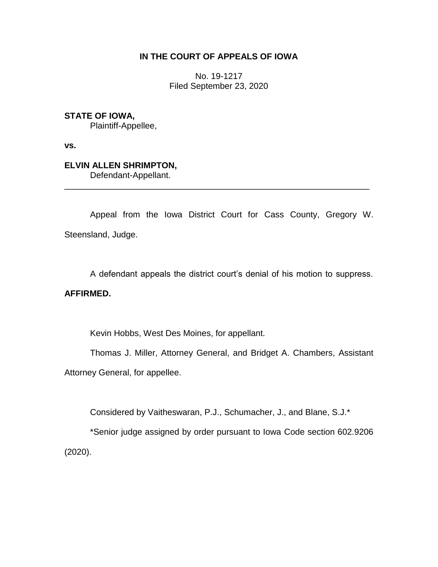## **IN THE COURT OF APPEALS OF IOWA**

No. 19-1217 Filed September 23, 2020

## **STATE OF IOWA,**

Plaintiff-Appellee,

**vs.**

## **ELVIN ALLEN SHRIMPTON,**

Defendant-Appellant.

Appeal from the Iowa District Court for Cass County, Gregory W. Steensland, Judge.

\_\_\_\_\_\_\_\_\_\_\_\_\_\_\_\_\_\_\_\_\_\_\_\_\_\_\_\_\_\_\_\_\_\_\_\_\_\_\_\_\_\_\_\_\_\_\_\_\_\_\_\_\_\_\_\_\_\_\_\_\_\_\_\_

A defendant appeals the district court's denial of his motion to suppress.

### **AFFIRMED.**

Kevin Hobbs, West Des Moines, for appellant.

Thomas J. Miller, Attorney General, and Bridget A. Chambers, Assistant Attorney General, for appellee.

Considered by Vaitheswaran, P.J., Schumacher, J., and Blane, S.J.\*

\*Senior judge assigned by order pursuant to Iowa Code section 602.9206 (2020).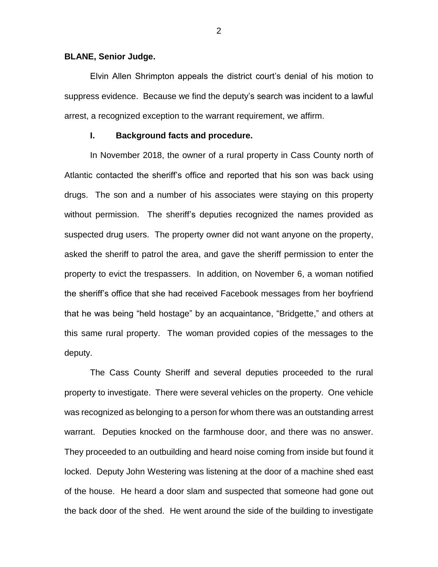#### **BLANE, Senior Judge.**

Elvin Allen Shrimpton appeals the district court's denial of his motion to suppress evidence. Because we find the deputy's search was incident to a lawful arrest, a recognized exception to the warrant requirement, we affirm.

### **I. Background facts and procedure.**

In November 2018, the owner of a rural property in Cass County north of Atlantic contacted the sheriff's office and reported that his son was back using drugs. The son and a number of his associates were staying on this property without permission. The sheriff's deputies recognized the names provided as suspected drug users. The property owner did not want anyone on the property, asked the sheriff to patrol the area, and gave the sheriff permission to enter the property to evict the trespassers. In addition, on November 6, a woman notified the sheriff's office that she had received Facebook messages from her boyfriend that he was being "held hostage" by an acquaintance, "Bridgette," and others at this same rural property. The woman provided copies of the messages to the deputy.

The Cass County Sheriff and several deputies proceeded to the rural property to investigate. There were several vehicles on the property. One vehicle was recognized as belonging to a person for whom there was an outstanding arrest warrant. Deputies knocked on the farmhouse door, and there was no answer. They proceeded to an outbuilding and heard noise coming from inside but found it locked. Deputy John Westering was listening at the door of a machine shed east of the house. He heard a door slam and suspected that someone had gone out the back door of the shed. He went around the side of the building to investigate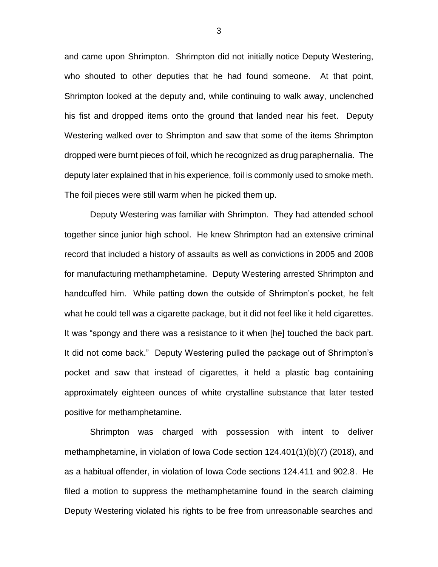and came upon Shrimpton. Shrimpton did not initially notice Deputy Westering, who shouted to other deputies that he had found someone. At that point, Shrimpton looked at the deputy and, while continuing to walk away, unclenched his fist and dropped items onto the ground that landed near his feet. Deputy Westering walked over to Shrimpton and saw that some of the items Shrimpton dropped were burnt pieces of foil, which he recognized as drug paraphernalia. The deputy later explained that in his experience, foil is commonly used to smoke meth. The foil pieces were still warm when he picked them up.

Deputy Westering was familiar with Shrimpton. They had attended school together since junior high school. He knew Shrimpton had an extensive criminal record that included a history of assaults as well as convictions in 2005 and 2008 for manufacturing methamphetamine. Deputy Westering arrested Shrimpton and handcuffed him. While patting down the outside of Shrimpton's pocket, he felt what he could tell was a cigarette package, but it did not feel like it held cigarettes. It was "spongy and there was a resistance to it when [he] touched the back part. It did not come back." Deputy Westering pulled the package out of Shrimpton's pocket and saw that instead of cigarettes, it held a plastic bag containing approximately eighteen ounces of white crystalline substance that later tested positive for methamphetamine.

Shrimpton was charged with possession with intent to deliver methamphetamine, in violation of Iowa Code section 124.401(1)(b)(7) (2018), and as a habitual offender, in violation of Iowa Code sections 124.411 and 902.8. He filed a motion to suppress the methamphetamine found in the search claiming Deputy Westering violated his rights to be free from unreasonable searches and

3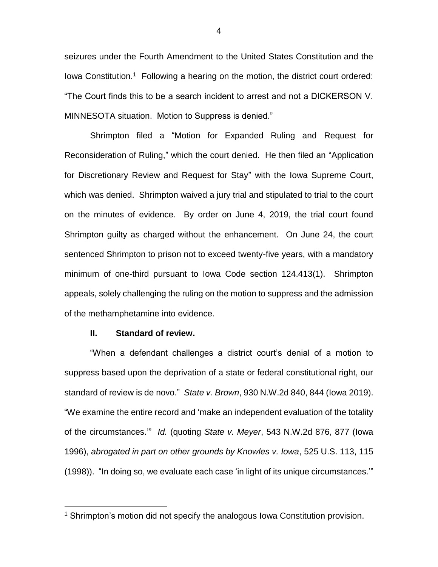seizures under the Fourth Amendment to the United States Constitution and the lowa Constitution.<sup>1</sup> Following a hearing on the motion, the district court ordered: "The Court finds this to be a search incident to arrest and not a DICKERSON V. MINNESOTA situation. Motion to Suppress is denied."

Shrimpton filed a "Motion for Expanded Ruling and Request for Reconsideration of Ruling," which the court denied. He then filed an "Application for Discretionary Review and Request for Stay" with the Iowa Supreme Court, which was denied. Shrimpton waived a jury trial and stipulated to trial to the court on the minutes of evidence. By order on June 4, 2019, the trial court found Shrimpton guilty as charged without the enhancement. On June 24, the court sentenced Shrimpton to prison not to exceed twenty-five years, with a mandatory minimum of one-third pursuant to Iowa Code section 124.413(1). Shrimpton appeals, solely challenging the ruling on the motion to suppress and the admission of the methamphetamine into evidence.

#### **II. Standard of review.**

 $\overline{a}$ 

"When a defendant challenges a district court's denial of a motion to suppress based upon the deprivation of a state or federal constitutional right, our standard of review is de novo." *State v. Brown*, 930 N.W.2d 840, 844 (Iowa 2019). "We examine the entire record and 'make an independent evaluation of the totality of the circumstances.'" *Id.* (quoting *State v. Meyer*, 543 N.W.2d 876, 877 (Iowa 1996), *abrogated in part on other grounds by Knowles v. Iowa*, 525 U.S. 113, 115 (1998)). "In doing so, we evaluate each case 'in light of its unique circumstances.'"

<sup>&</sup>lt;sup>1</sup> Shrimpton's motion did not specify the analogous lowa Constitution provision.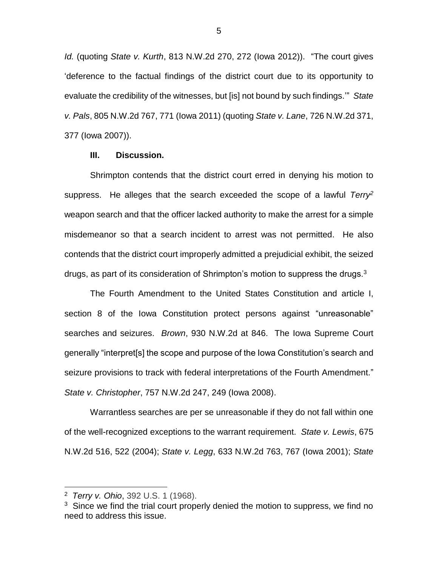*Id.* (quoting *State v. Kurth*, 813 N.W.2d 270, 272 (Iowa 2012)). "The court gives 'deference to the factual findings of the district court due to its opportunity to evaluate the credibility of the witnesses, but [is] not bound by such findings.'" *State v. Pals*, 805 N.W.2d 767, 771 (Iowa 2011) (quoting *State v. Lane*, 726 N.W.2d 371, 377 (Iowa 2007)).

### **III. Discussion.**

Shrimpton contends that the district court erred in denying his motion to suppress. He alleges that the search exceeded the scope of a lawful *Terry<sup>2</sup>* weapon search and that the officer lacked authority to make the arrest for a simple misdemeanor so that a search incident to arrest was not permitted. He also contends that the district court improperly admitted a prejudicial exhibit, the seized drugs, as part of its consideration of Shrimpton's motion to suppress the drugs.<sup>3</sup>

The Fourth Amendment to the United States Constitution and article I, section 8 of the Iowa Constitution protect persons against "unreasonable" searches and seizures. *Brown*, 930 N.W.2d at 846. The Iowa Supreme Court generally "interpret[s] the scope and purpose of the Iowa Constitution's search and seizure provisions to track with federal interpretations of the Fourth Amendment." *State v. Christopher*, 757 N.W.2d 247, 249 (Iowa 2008).

Warrantless searches are per se unreasonable if they do not fall within one of the well-recognized exceptions to the warrant requirement. *State v. Lewis*, 675 N.W.2d 516, 522 (2004); *State v. Legg*, 633 N.W.2d 763, 767 (Iowa 2001); *State* 

 $\overline{a}$ 

<sup>2</sup> *[Terry v.](https://1.next.westlaw.com/Document/Idf150bf79c9c11d993e6d35cc61aab4a/View/FullText.html?originationContext=docHeader&contextData=(sc.Default)&transitionType=Document&needToInjectTerms=False&docSource=2ad89fb380e0490798b4dc48f227d53b) Ohio*, 392 U.S. 1 (1968).

<sup>&</sup>lt;sup>3</sup> Since we find the trial court properly denied the motion to suppress, we find no need to address this issue.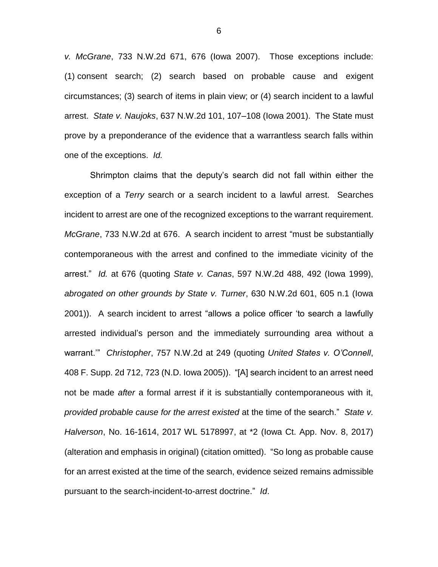*v. McGrane*, 733 N.W.2d 671, 676 (Iowa 2007). Those exceptions include: (1) consent search; (2) search based on probable cause and exigent circumstances; (3) search of items in plain view; or (4) search incident to a lawful arrest. *State v. Naujoks*, 637 N.W.2d 101, 107–108 (Iowa 2001). The State must prove by a preponderance of the evidence that a warrantless search falls within one of the exceptions. *Id.*

Shrimpton claims that the deputy's search did not fall within either the exception of a *Terry* search or a search incident to a lawful arrest. Searches incident to arrest are one of the recognized exceptions to the warrant requirement. *McGrane*, 733 N.W.2d at 676. A search incident to arrest "must be substantially contemporaneous with the arrest and confined to the immediate vicinity of the arrest." *Id.* at 676 (quoting *State v. Canas*, 597 N.W.2d 488, 492 (Iowa 1999), *abrogated on other grounds by State v. Turner*, 630 N.W.2d 601, 605 n.1 (Iowa 2001)). A search incident to arrest "allows a police officer 'to search a lawfully arrested individual's person and the immediately surrounding area without a warrant.'" *Christopher*, 757 N.W.2d at 249 (quoting *United States v. O'Connell*, 408 F. Supp. 2d 712, 723 (N.D. Iowa 2005)). "[A] search incident to an arrest need not be made *after* a formal arrest if it is substantially contemporaneous with it, *provided probable cause for the arrest existed* at the time of the search." *State v. Halverson*, No. 16-1614, 2017 WL 5178997, at \*2 (Iowa Ct. App. Nov. 8, 2017) (alteration and emphasis in original) (citation omitted). "So long as probable cause for an arrest existed at the time of the search, evidence seized remains admissible pursuant to the search-incident-to-arrest doctrine." *Id*.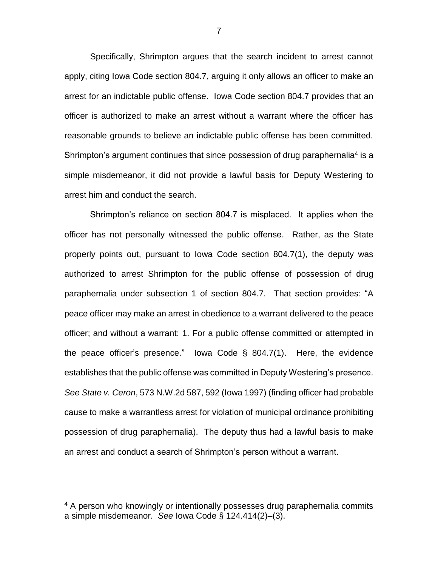Specifically, Shrimpton argues that the search incident to arrest cannot apply, citing Iowa Code section 804.7, arguing it only allows an officer to make an arrest for an indictable public offense. Iowa Code section 804.7 provides that an officer is authorized to make an arrest without a warrant where the officer has reasonable grounds to believe an indictable public offense has been committed. Shrimpton's argument continues that since possession of drug paraphernalia<sup>4</sup> is a simple misdemeanor, it did not provide a lawful basis for Deputy Westering to arrest him and conduct the search.

Shrimpton's reliance on section 804.7 is misplaced. It applies when the officer has not personally witnessed the public offense. Rather, as the State properly points out, pursuant to Iowa Code section 804.7(1), the deputy was authorized to arrest Shrimpton for the public offense of possession of drug paraphernalia under subsection 1 of section 804.7. That section provides: "A peace officer may make an arrest in obedience to a warrant delivered to the peace officer; and without a warrant: 1. For a public offense committed or attempted in the peace officer's presence." Iowa Code § 804.7(1). Here, the evidence establishes that the public offense was committed in Deputy Westering's presence. *See State v. Ceron*, 573 N.W.2d 587, 592 (Iowa 1997) (finding officer had probable cause to make a warrantless arrest for violation of municipal ordinance prohibiting possession of drug paraphernalia). The deputy thus had a lawful basis to make an arrest and conduct a search of Shrimpton's person without a warrant.

 $\overline{a}$ 

<sup>&</sup>lt;sup>4</sup> A person who knowingly or intentionally possesses drug paraphernalia commits a simple misdemeanor. *See* Iowa Code § 124.414(2)–(3).